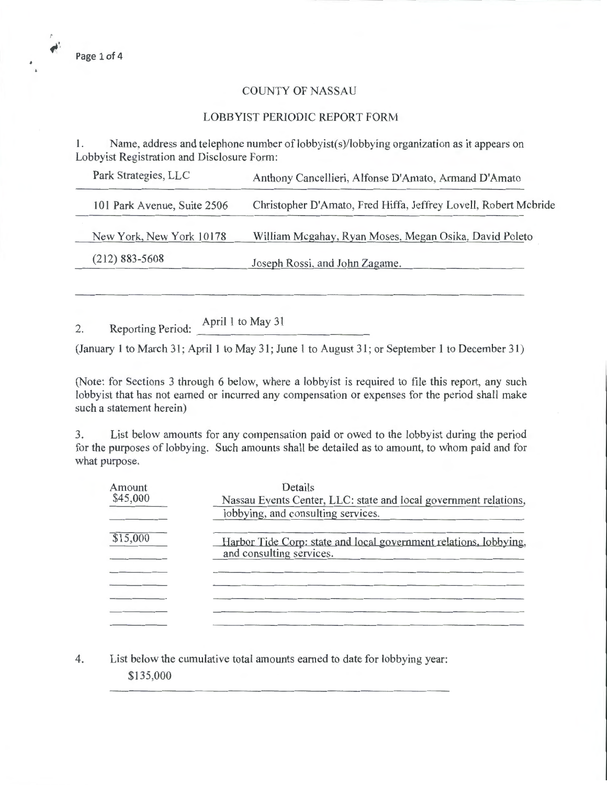$\mathbf{z}^{\text{th}}$ 

## COUNTY OF NASSAU

## LOBBYIST PERIODIC REPORT FORM

1. Name, address and telephone number of lobbyist(s)/lobbying organization as it appears on Lobbyist Registration and Disclosure Form:

| Park Strategies, LLC        | Anthony Cancellieri, Alfonse D'Amato, Armand D'Amato            |
|-----------------------------|-----------------------------------------------------------------|
| 101 Park Avenue, Suite 2506 | Christopher D'Amato, Fred Hiffa, Jeffrey Lovell, Robert Mcbride |
| New York, New York 10178    | William Mcgahay, Ryan Moses, Megan Osika, David Poleto          |
| $(212)$ 883-5608            | Joseph Rossi, and John Zagame.                                  |
|                             |                                                                 |

2. Reporting Period: April 1 to May 31

(January I to March 31; April I to May 31; June 1 to August 31; or September I to December 31)

(Note: for Sections 3 through 6 below, where a lobbyist is required to file this report, any such lobbyist that has not earned or incurred any compensation or expenses for the period shall make such a statement herein)

3. List below amounts for any compensation paid or owed to the lobbyist during the period for the purposes of lobbying. Such amounts shall be detailed as to amount, to whom paid and for what purpose.

| Amount   | Details                                                                                       |
|----------|-----------------------------------------------------------------------------------------------|
| \$45,000 | Nassau Events Center, LLC: state and local government relations,                              |
|          | lobbying, and consulting services.                                                            |
| \$15,000 | Harbor Tide Corp: state and local government relations, lobbying,<br>and consulting services. |
|          |                                                                                               |
|          |                                                                                               |
|          |                                                                                               |
|          |                                                                                               |

4. List below the cumulative total amounts earned to date for lobbying year: \$135,000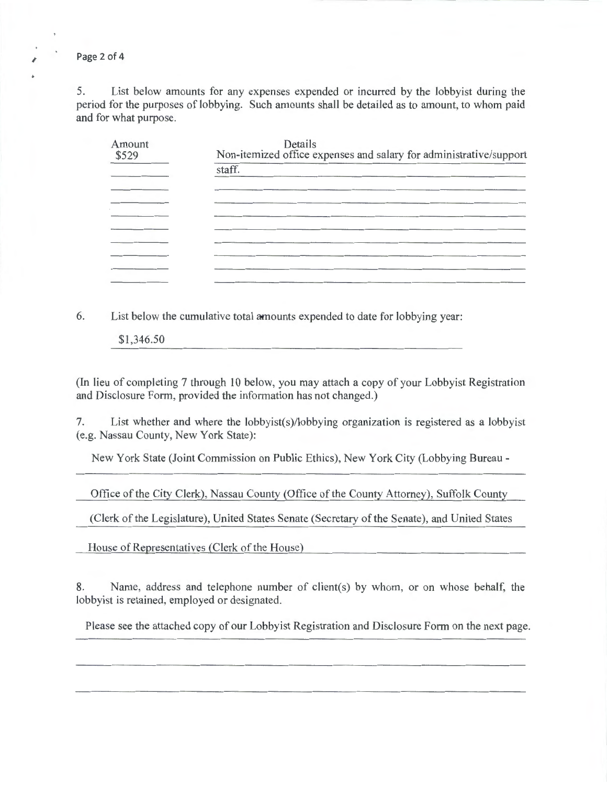Page 2 of 4

5. List below amounts for any expenses expended or incurred by the lobbyist during the period for the purposes of lobbying. Such amounts shall be detailed as to amount, to whom paid and for what purpose.

| Amount<br>\$529 | Details<br>Non-itemized office expenses and salary for administrative/support |  |  |
|-----------------|-------------------------------------------------------------------------------|--|--|
|                 | staff.                                                                        |  |  |
|                 |                                                                               |  |  |
|                 |                                                                               |  |  |
|                 |                                                                               |  |  |
|                 |                                                                               |  |  |
|                 |                                                                               |  |  |
|                 |                                                                               |  |  |

6. List below the cumulative total amounts expended to date for lobbying year:

\$1,346.50

(In lieu of completing 7 through 10 below, you may attach a copy of your Lobbyist Registration and Disclosure Form, provided the information has not changed.)

7. List whether and where the lobbyist(s)/lobbying organization is registered as a lobbyist (e.g. Nassau County, New York State):

New York State (Joint Commission on Public Ethics), New York City (Lobbying Bureau-

Office of the City Clerk), Nassau County (Office of the County Attorney), Suffolk County

(Clerk of the Legislature), United States Senate (Secretary of the Senate), and United States

House of Representatives (Clerk of the House)

8. Name, address and telephone number of client(s) by whom, or on whose behalf, the lobbyist is retained, employed or designated.

Please see the attached copy of our Lobbyist Registration and Disclosure Form on the next page.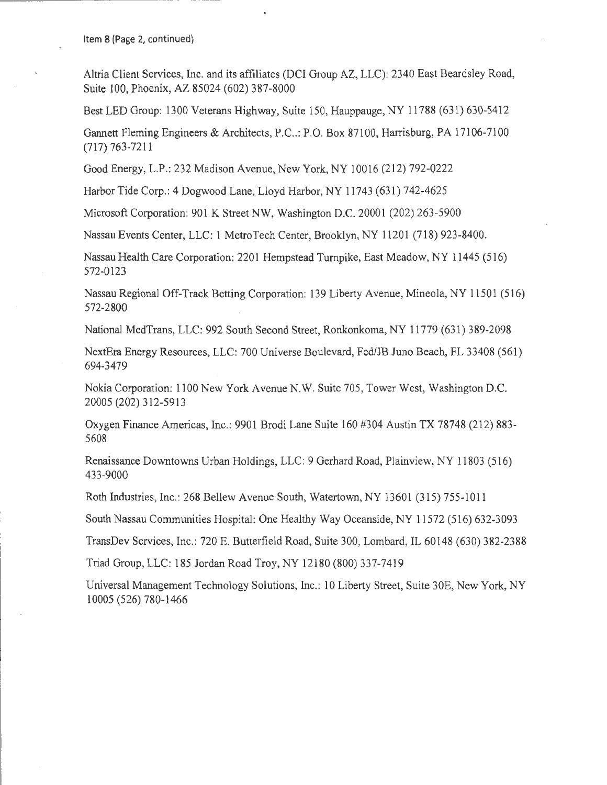Item 8 (Page 2, continued)

Altria Client Services, Inc. and its affiliates (DCI Group AZ, LLC): 2340 East Beardsley Road, Suite 100, Phoenix, AZ 85024 (602) 387-8000

Best LED Group: 1300 Veterans Highway, Suite 150, Hauppauge, NY 11788 (631) 630-5412

Gannett Fleming Engineers & Architects, P.C..: P.O. Box 87100, Harrisburg, PA 17106-7100 (717) 763-7211

Good Energy, L.P.: 232 Madison Avenue, New York, NY 10016 (212) 792-0222

Harbor Tide Corp.: 4 Dogwood Lane, Lloyd Harbor, NY 11743 (631) 742-4625

Microsoft Corporation: 901 K Street NW, Washington D.C. 20001 (202) 263-5900

Nassau Events Center, LLC: 1 MetroTech Center, Brooklyn, NY 11201 (718) 923-8400.

Nassau Health Care Corporation: 2201 Hempstead Turnpike, East Meadow, NY 11445 (516) 572-0123

Nassau Regional Off-Track Betting Corporation: 139 Liberty Avenue, Mineola, NY 11501 (516) 572-2800

National MedTrans, LLC: 992 South Second Street, Ronkonkoma, NY 11779 (631) 389-2098

NextEra Energy Resources, LLC: 700 Universe Boulevard, Fed/JB Juno Beach, FL 33408 (561) 694-3479

Nokia Corporation: 1100 New York Avenue N.W. Suite 705 , Tower West, Washington D.C. 20005 (202) 312-5913

Oxygen Finance Americas, Inc.: 9901 Brodi Lane Suite 160 #304 Austin TX 78748 (212) 883- 5608

Renaissance Downtowns Urban Holdings, LLC: 9 Gerhard Road, Plainview, NY 11803 (516) 433-9000

Roth Industries, Inc.: 268 Bellew Avenue South, Watertown, NY 13601 (315) 755-1011

South Nassau Communities Hospital: One Healthy Way Oceanside, NY 11572 (516) 632-3093

TransDev Services, Inc.: 720 E. Butterfield Road, Suite 300, Lombard, IL 60148 (630) 382-2388

Triad Group, LLC: 185 Jordan Road Troy, NY 12180 (800) 337-7419

Universal Management Technology Solutions, Inc.: 10 Liberty Street, Suite JOE, New York, NY 10005 (526) 780-1466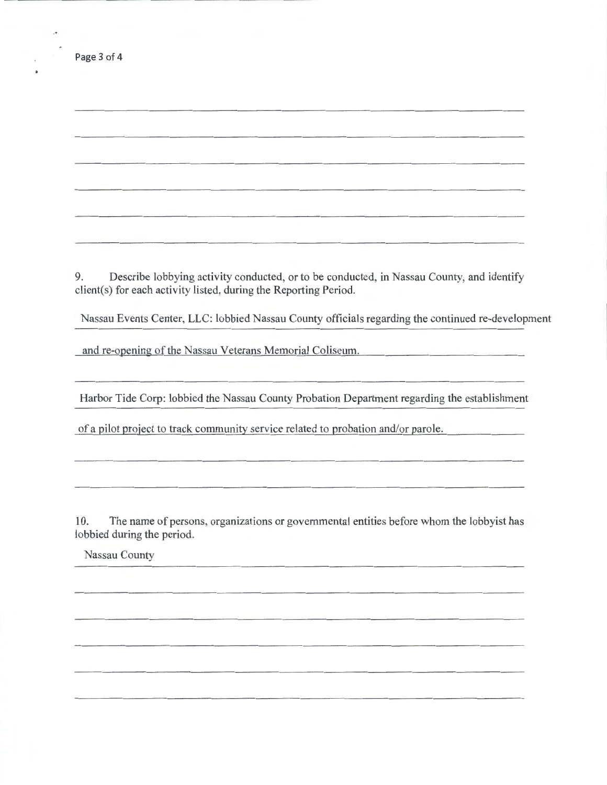| Page 3 of 4 |  |  |  |
|-------------|--|--|--|
|-------------|--|--|--|

9. Describe lobbying activity conducted, or to be conducted, in Nassau County, and identify client(s) for each activity listed, during the Reporting Period.

Nassau Events Center, LLC: lobbied Nassau County officials regarding the continued re-development

and re-opening of the Nassau Veterans Memorial Coliseum.

Harbor Tide Corp: lobbied the Nassau County Probation Department regarding the establishment

of a pilot project to track community service related to probation and/or parole.

10. The name of persons, organizations or governmental entities before whom the lobbyist has lobbied during the period.

Nassau County